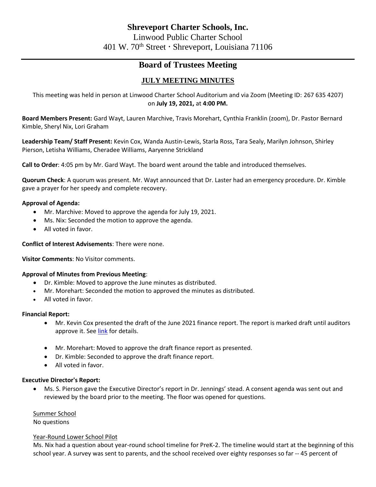# **Board of Trustees Meeting**

# **JULY MEETING MINUTES**

This meeting was held in person at Linwood Charter School Auditorium and via Zoom (Meeting ID: 267 635 4207) on **July 19, 2021,** at **4:00 PM.**

**Board Members Present:** Gard Wayt, Lauren Marchive, Travis Morehart, Cynthia Franklin (zoom), Dr. Pastor Bernard Kimble, Sheryl Nix, Lori Graham

**Leadership Team/ Staff Present:** Kevin Cox, Wanda Austin-Lewis, Starla Ross, Tara Sealy, Marilyn Johnson, Shirley Pierson, Letisha Williams, Cheradee Williams, Aaryenne Strickland

**Call to Order**: 4:05 pm by Mr. Gard Wayt. The board went around the table and introduced themselves.

**Quorum Check**: A quorum was present. Mr. Wayt announced that Dr. Laster had an emergency procedure. Dr. Kimble gave a prayer for her speedy and complete recovery.

## **Approval of Agenda:**

- Mr. Marchive: Moved to approve the agenda for July 19, 2021.
- Ms. Nix: Seconded the motion to approve the agenda.
- All voted in favor.

#### **Conflict of Interest Advisements**: There were none.

**Visitor Comments**: No Visitor comments.

#### **Approval of Minutes from Previous Meeting**:

- Dr. Kimble: Moved to approve the June minutes as distributed.
- Mr. Morehart: Seconded the motion to approved the minutes as distributed.
- All voted in favor.

#### **Financial Report:**

- Mr. Kevin Cox presented the draft of the June 2021 finance report. The report is marked draft until auditors approve it. See [link](https://linwoodsabis-my.sharepoint.com/personal/cwilliams_linwoodcharter_org/Documents/Board%20Meetings/Finance%20Report/FY21%20June%20Finance%20Report%20-%20DRAFT.pdf) for details.
- Mr. Morehart: Moved to approve the draft finance report as presented.
- Dr. Kimble: Seconded to approve the draft finance report.
- All voted in favor.

#### **Executive Director's Report:**

• Ms. S. Pierson gave the Executive Director's report in Dr. Jennings' stead. A consent agenda was sent out and reviewed by the board prior to the meeting. The floor was opened for questions.

Summer School

No questions

#### Year-Round Lower School Pilot

Ms. Nix had a question about year-round school timeline for PreK-2. The timeline would start at the beginning of this school year. A survey was sent to parents, and the school received over eighty responses so far -- 45 percent of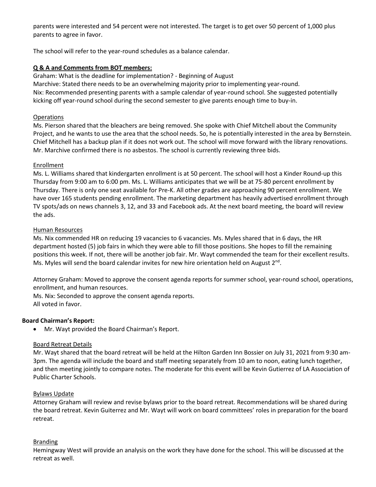parents were interested and 54 percent were not interested. The target is to get over 50 percent of 1,000 plus parents to agree in favor.

The school will refer to the year-round schedules as a balance calendar.

# **Q & A and Comments from BOT members:**

Graham: What is the deadline for implementation? - Beginning of August Marchive: Stated there needs to be an overwhelming majority prior to implementing year-round. Nix: Recommended presenting parents with a sample calendar of year-round school. She suggested potentially kicking off year-round school during the second semester to give parents enough time to buy-in.

#### Operations

Ms. Pierson shared that the bleachers are being removed. She spoke with Chief Mitchell about the Community Project, and he wants to use the area that the school needs. So, he is potentially interested in the area by Bernstein. Chief Mitchell has a backup plan if it does not work out. The school will move forward with the library renovations. Mr. Marchive confirmed there is no asbestos. The school is currently reviewing three bids.

#### Enrollment

Ms. L. Williams shared that kindergarten enrollment is at 50 percent. The school will host a Kinder Round-up this Thursday from 9:00 am to 6:00 pm. Ms. L. Williams anticipates that we will be at 75-80 percent enrollment by Thursday. There is only one seat available for Pre-K. All other grades are approaching 90 percent enrollment. We have over 165 students pending enrollment. The marketing department has heavily advertised enrollment through TV spots/ads on news channels 3, 12, and 33 and Facebook ads. At the next board meeting, the board will review the ads.

#### Human Resources

Ms. Nix commended HR on reducing 19 vacancies to 6 vacancies. Ms. Myles shared that in 6 days, the HR department hosted (5) job fairs in which they were able to fill those positions. She hopes to fill the remaining positions this week. If not, there will be another job fair. Mr. Wayt commended the team for their excellent results. Ms. Myles will send the board calendar invites for new hire orientation held on August  $2^{nd}$ .

Attorney Graham: Moved to approve the consent agenda reports for summer school, year-round school, operations, enrollment, and human resources.

Ms. Nix: Seconded to approve the consent agenda reports. All voted in favor.

#### **Board Chairman's Report:**

• Mr. Wayt provided the Board Chairman's Report.

#### Board Retreat Details

Mr. Wayt shared that the board retreat will be held at the Hilton Garden Inn Bossier on July 31, 2021 from 9:30 am-3pm. The agenda will include the board and staff meeting separately from 10 am to noon, eating lunch together, and then meeting jointly to compare notes. The moderate for this event will be Kevin Gutierrez of LA Association of Public Charter Schools.

#### Bylaws Update

Attorney Graham will review and revise bylaws prior to the board retreat. Recommendations will be shared during the board retreat. Kevin Guiterrez and Mr. Wayt will work on board committees' roles in preparation for the board retreat.

#### **Branding**

Hemingway West will provide an analysis on the work they have done for the school. This will be discussed at the retreat as well.